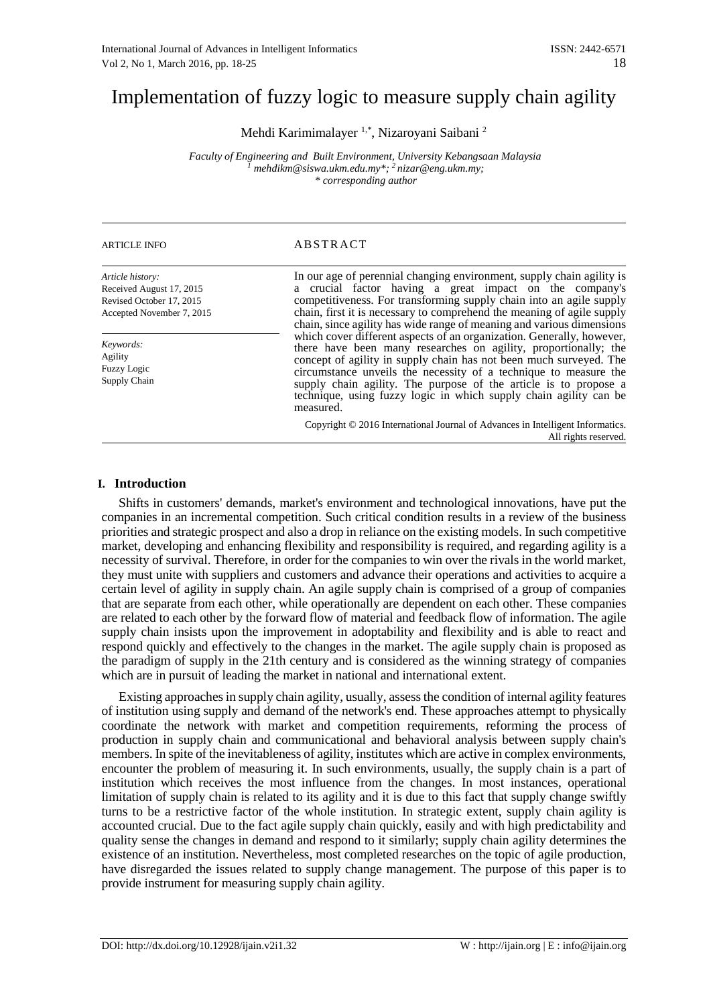# Implementation of fuzzy logic to measure supply chain agility

Mehdi Karimimalayer 1,\*, Nizaroyani Saibani <sup>2</sup>

*Faculty of Engineering and Built Environment, University Kebangsaan Malaysia <sup>1</sup> mehdikm@siswa.ukm.edu.my\*; 2 nizar@eng.ukm.my; \* corresponding author*

| <b>ARTICLE INFO</b>                                                                                   | <b>ABSTRACT</b>                                                                                                                                                                                                                                                                                                                                                                                                                          |  |
|-------------------------------------------------------------------------------------------------------|------------------------------------------------------------------------------------------------------------------------------------------------------------------------------------------------------------------------------------------------------------------------------------------------------------------------------------------------------------------------------------------------------------------------------------------|--|
| Article history:<br>Received August 17, 2015<br>Revised October 17, 2015<br>Accepted November 7, 2015 | In our age of perennial changing environment, supply chain agility is<br>a crucial factor having a great impact on the company's<br>competitiveness. For transforming supply chain into an agile supply<br>chain, first it is necessary to comprehend the meaning of agile supply<br>chain, since agility has wide range of meaning and various dimensions                                                                               |  |
| Keywords:<br>Agility<br><b>Fuzzy Logic</b><br>Supply Chain                                            | which cover different aspects of an organization. Generally, however,<br>there have been many researches on agility, proportionally; the<br>concept of agility in supply chain has not been much surveyed. The<br>circumstance unveils the necessity of a technique to measure the<br>supply chain agility. The purpose of the article is to propose a<br>technique, using fuzzy logic in which supply chain agility can be<br>measured. |  |
|                                                                                                       | Copyright © 2016 International Journal of Advances in Intelligent Informatics.<br>All rights reserved.                                                                                                                                                                                                                                                                                                                                   |  |

# **I. Introduction**

Shifts in customers' demands, market's environment and technological innovations, have put the companies in an incremental competition. Such critical condition results in a review of the business priorities and strategic prospect and also a drop in reliance on the existing models. In such competitive market, developing and enhancing flexibility and responsibility is required, and regarding agility is a necessity of survival. Therefore, in order for the companies to win over the rivals in the world market, they must unite with suppliers and customers and advance their operations and activities to acquire a certain level of agility in supply chain. An agile supply chain is comprised of a group of companies that are separate from each other, while operationally are dependent on each other. These companies are related to each other by the forward flow of material and feedback flow of information. The agile supply chain insists upon the improvement in adoptability and flexibility and is able to react and respond quickly and effectively to the changes in the market. The agile supply chain is proposed as the paradigm of supply in the 21th century and is considered as the winning strategy of companies which are in pursuit of leading the market in national and international extent.

Existing approaches in supply chain agility, usually, assess the condition of internal agility features of institution using supply and demand of the network's end. These approaches attempt to physically coordinate the network with market and competition requirements, reforming the process of production in supply chain and communicational and behavioral analysis between supply chain's members. In spite of the inevitableness of agility, institutes which are active in complex environments, encounter the problem of measuring it. In such environments, usually, the supply chain is a part of institution which receives the most influence from the changes. In most instances, operational limitation of supply chain is related to its agility and it is due to this fact that supply change swiftly turns to be a restrictive factor of the whole institution. In strategic extent, supply chain agility is accounted crucial. Due to the fact agile supply chain quickly, easily and with high predictability and quality sense the changes in demand and respond to it similarly; supply chain agility determines the existence of an institution. Nevertheless, most completed researches on the topic of agile production, have disregarded the issues related to supply change management. The purpose of this paper is to provide instrument for measuring supply chain agility.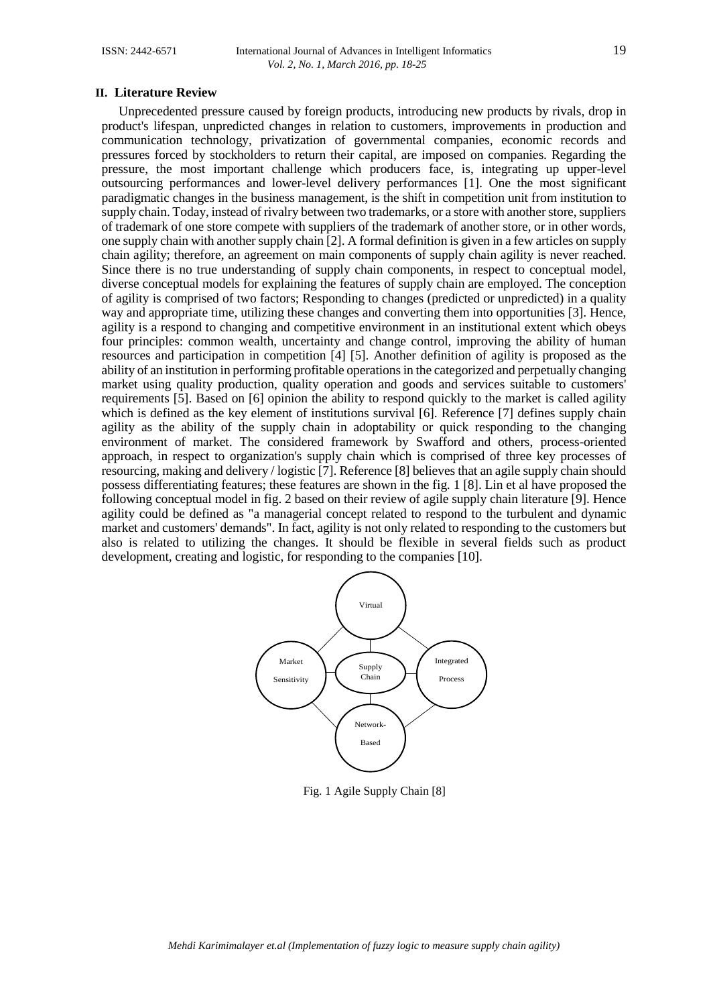#### **II. Literature Review**

Unprecedented pressure caused by foreign products, introducing new products by rivals, drop in product's lifespan, unpredicted changes in relation to customers, improvements in production and communication technology, privatization of governmental companies, economic records and pressures forced by stockholders to return their capital, are imposed on companies. Regarding the pressure, the most important challenge which producers face, is, integrating up upper-level outsourcing performances and lower-level delivery performances [1]. One the most significant paradigmatic changes in the business management, is the shift in competition unit from institution to supply chain. Today, instead of rivalry between two trademarks, or a store with another store, suppliers of trademark of one store compete with suppliers of the trademark of another store, or in other words, one supply chain with another supply chain [2]. A formal definition is given in a few articles on supply chain agility; therefore, an agreement on main components of supply chain agility is never reached. Since there is no true understanding of supply chain components, in respect to conceptual model, diverse conceptual models for explaining the features of supply chain are employed. The conception of agility is comprised of two factors; Responding to changes (predicted or unpredicted) in a quality way and appropriate time, utilizing these changes and converting them into opportunities [3]. Hence, agility is a respond to changing and competitive environment in an institutional extent which obeys four principles: common wealth, uncertainty and change control, improving the ability of human resources and participation in competition [4] [5]. Another definition of agility is proposed as the ability of an institution in performing profitable operations in the categorized and perpetually changing market using quality production, quality operation and goods and services suitable to customers' requirements [5]. Based on [6] opinion the ability to respond quickly to the market is called agility which is defined as the key element of institutions survival [6]. Reference [7] defines supply chain agility as the ability of the supply chain in adoptability or quick responding to the changing environment of market. The considered framework by Swafford and others, process-oriented approach, in respect to organization's supply chain which is comprised of three key processes of resourcing, making and delivery / logistic [7]. Reference [8] believes that an agile supply chain should possess differentiating features; these features are shown in the fig. 1 [8]. Lin et al have proposed the following conceptual model in fig. 2 based on their review of agile supply chain literature [9]. Hence agility could be defined as "a managerial concept related to respond to the turbulent and dynamic market and customers' demands". In fact, agility is not only related to responding to the customers but also is related to utilizing the changes. It should be flexible in several fields such as product development, creating and logistic, for responding to the companies [10].



Fig. 1 Agile Supply Chain [8]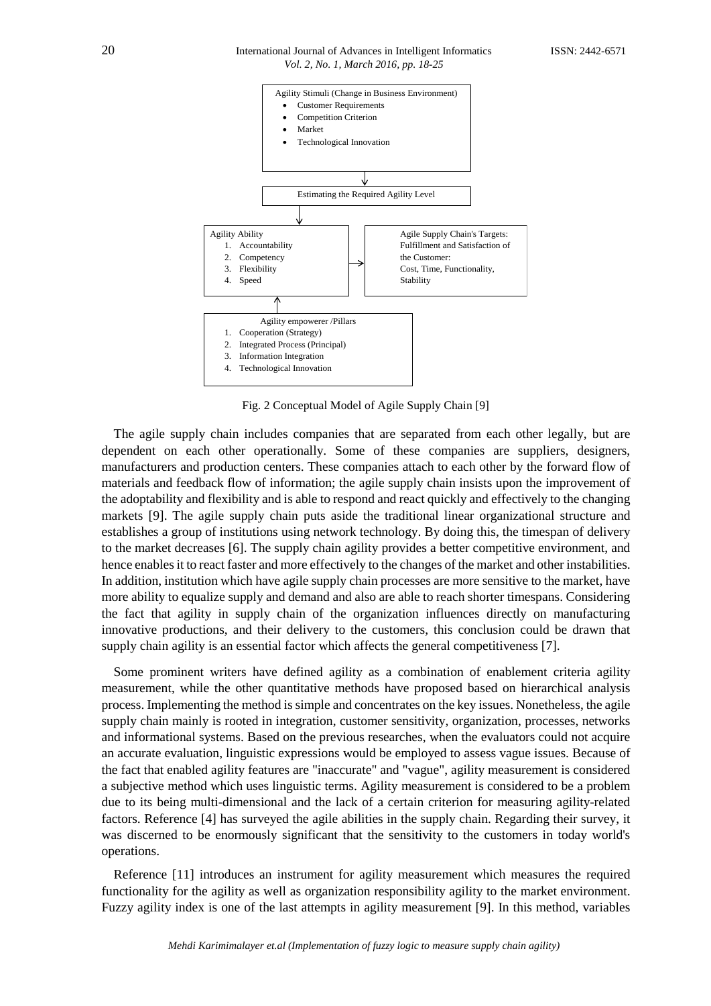#### 20 International Journal of Advances in Intelligent InformaticsISSN: 2442-6571 *Vol. 2, No. 1, March 2016, pp. 18-25*



Fig. 2 Conceptual Model of Agile Supply Chain [9]

The agile supply chain includes companies that are separated from each other legally, but are dependent on each other operationally. Some of these companies are suppliers, designers, manufacturers and production centers. These companies attach to each other by the forward flow of materials and feedback flow of information; the agile supply chain insists upon the improvement of the adoptability and flexibility and is able to respond and react quickly and effectively to the changing markets [9]. The agile supply chain puts aside the traditional linear organizational structure and establishes a group of institutions using network technology. By doing this, the timespan of delivery to the market decreases [6]. The supply chain agility provides a better competitive environment, and hence enables it to react faster and more effectively to the changes of the market and other instabilities. In addition, institution which have agile supply chain processes are more sensitive to the market, have more ability to equalize supply and demand and also are able to reach shorter timespans. Considering the fact that agility in supply chain of the organization influences directly on manufacturing innovative productions, and their delivery to the customers, this conclusion could be drawn that supply chain agility is an essential factor which affects the general competitiveness [7].

Some prominent writers have defined agility as a combination of enablement criteria agility measurement, while the other quantitative methods have proposed based on hierarchical analysis process. Implementing the method is simple and concentrates on the key issues. Nonetheless, the agile supply chain mainly is rooted in integration, customer sensitivity, organization, processes, networks and informational systems. Based on the previous researches, when the evaluators could not acquire an accurate evaluation, linguistic expressions would be employed to assess vague issues. Because of the fact that enabled agility features are "inaccurate" and "vague", agility measurement is considered a subjective method which uses linguistic terms. Agility measurement is considered to be a problem due to its being multi-dimensional and the lack of a certain criterion for measuring agility-related factors. Reference [4] has surveyed the agile abilities in the supply chain. Regarding their survey, it was discerned to be enormously significant that the sensitivity to the customers in today world's operations.

Reference [11] introduces an instrument for agility measurement which measures the required functionality for the agility as well as organization responsibility agility to the market environment. Fuzzy agility index is one of the last attempts in agility measurement [9]. In this method, variables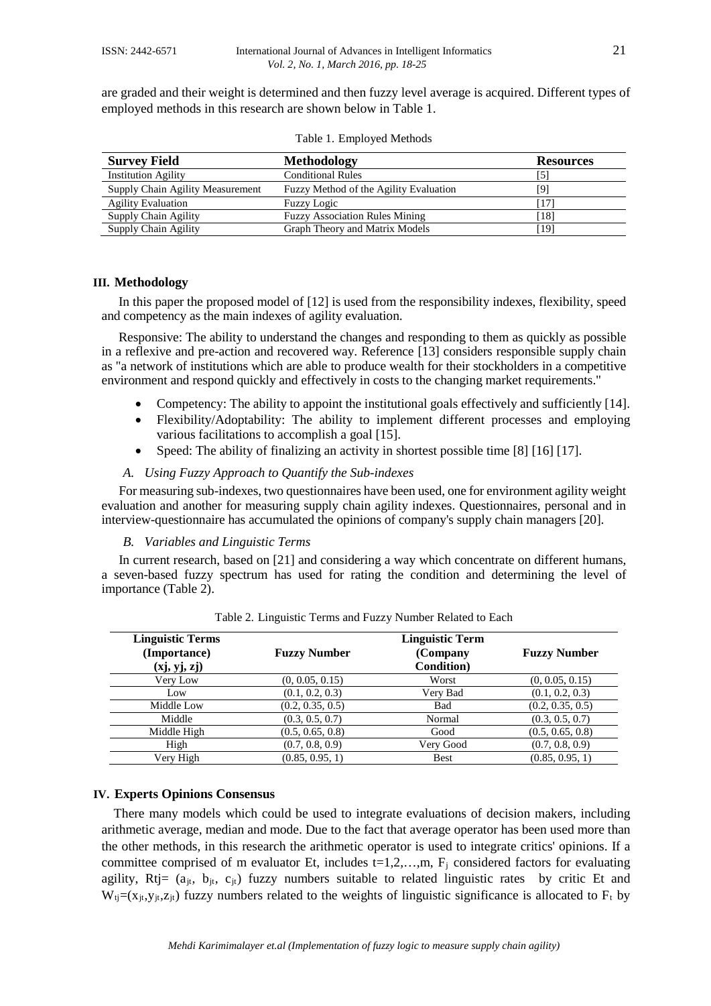are graded and their weight is determined and then fuzzy level average is acquired. Different types of employed methods in this research are shown below in Table 1.

| <b>Survey Field</b>              | <b>Methodology</b>                     | <b>Resources</b> |
|----------------------------------|----------------------------------------|------------------|
| <b>Institution Agility</b>       | <b>Conditional Rules</b>               |                  |
| Supply Chain Agility Measurement | Fuzzy Method of the Agility Evaluation | [9]              |
| <b>Agility Evaluation</b>        | <b>Fuzzy Logic</b>                     |                  |
| <b>Supply Chain Agility</b>      | <b>Fuzzy Association Rules Mining</b>  | '181             |
| <b>Supply Chain Agility</b>      | Graph Theory and Matrix Models         | 191              |

Table 1. Employed Methods

#### **III. Methodology**

In this paper the proposed model of [12] is used from the responsibility indexes, flexibility, speed and competency as the main indexes of agility evaluation.

Responsive: The ability to understand the changes and responding to them as quickly as possible in a reflexive and pre-action and recovered way. Reference [13] considers responsible supply chain as "a network of institutions which are able to produce wealth for their stockholders in a competitive environment and respond quickly and effectively in costs to the changing market requirements."

- Competency: The ability to appoint the institutional goals effectively and sufficiently [14].
- Flexibility/Adoptability: The ability to implement different processes and employing various facilitations to accomplish a goal [15].
- Speed: The ability of finalizing an activity in shortest possible time [8] [16] [17].

## *A. Using Fuzzy Approach to Quantify the Sub-indexes*

For measuring sub-indexes, two questionnaires have been used, one for environment agility weight evaluation and another for measuring supply chain agility indexes. Questionnaires, personal and in interview-questionnaire has accumulated the opinions of company's supply chain managers [20].

#### *B. Variables and Linguistic Terms*

In current research, based on [21] and considering a way which concentrate on different humans, a seven-based fuzzy spectrum has used for rating the condition and determining the level of importance (Table 2).

| <b>Linguistic Terms</b><br>(Importance)<br>(xj, yj, zj) | <b>Fuzzy Number</b> | <b>Linguistic Term</b><br>(Company<br><b>Condition</b> ) | <b>Fuzzy Number</b> |
|---------------------------------------------------------|---------------------|----------------------------------------------------------|---------------------|
| Very Low                                                | (0, 0.05, 0.15)     | Worst                                                    | (0, 0.05, 0.15)     |
| Low                                                     | (0.1, 0.2, 0.3)     | Very Bad                                                 | (0.1, 0.2, 0.3)     |
| Middle Low                                              | (0.2, 0.35, 0.5)    | Bad                                                      | (0.2, 0.35, 0.5)    |
| Middle                                                  | (0.3, 0.5, 0.7)     | Normal                                                   | (0.3, 0.5, 0.7)     |
| Middle High                                             | (0.5, 0.65, 0.8)    | Good                                                     | (0.5, 0.65, 0.8)    |
| High                                                    | (0.7, 0.8, 0.9)     | Very Good                                                | (0.7, 0.8, 0.9)     |
| Very High                                               | (0.85, 0.95, 1)     | <b>Best</b>                                              | (0.85, 0.95, 1)     |

Table 2. Linguistic Terms and Fuzzy Number Related to Each

## **IV. Experts Opinions Consensus**

There many models which could be used to integrate evaluations of decision makers, including arithmetic average, median and mode. Due to the fact that average operator has been used more than the other methods, in this research the arithmetic operator is used to integrate critics' opinions. If a committee comprised of m evaluator Et, includes  $t=1,2,...,m$ ,  $F_i$  considered factors for evaluating agility,  $Rt$  = ( $a_{it}$ ,  $b_{it}$ ,  $c_{it}$ ) fuzzy numbers suitable to related linguistic rates by critic Et and  $W_{ti}=(x_{it},y_{it},z_{it})$  fuzzy numbers related to the weights of linguistic significance is allocated to  $F_t$  by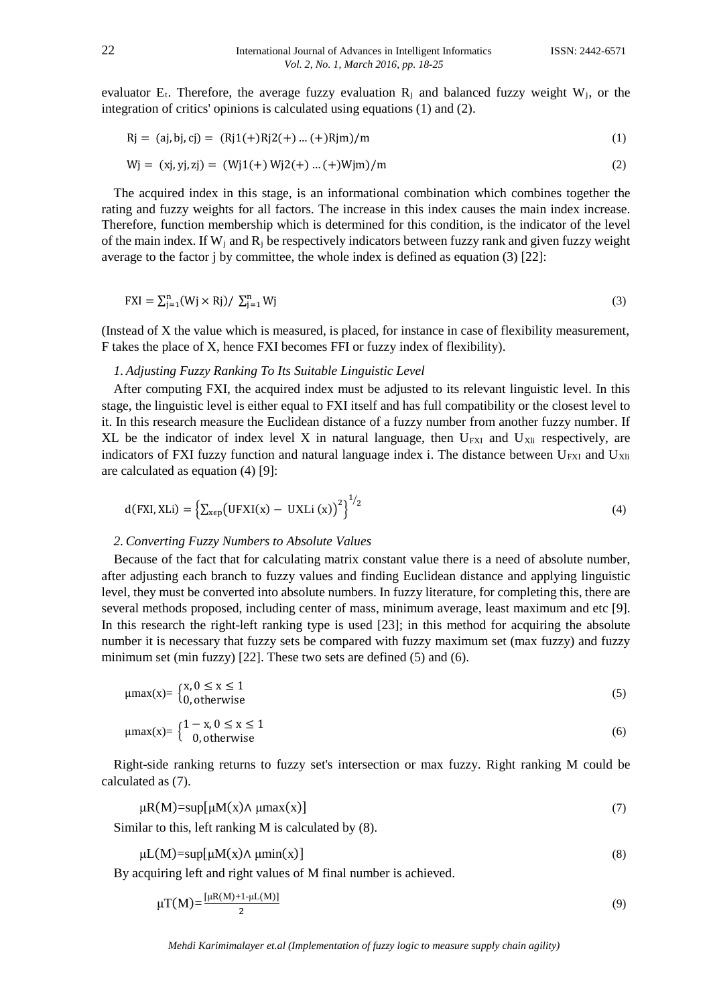evaluator  $E_t$ . Therefore, the average fuzzy evaluation  $R_i$  and balanced fuzzy weight  $W_i$ , or the integration of critics' opinions is calculated using equations (1) and (2).

$$
Rj = (aj, bj, cj) = (Rj1(+)Rj2(+) ... (+)Rjm)/m
$$
\n(1)

$$
Wj = (xj, yj, zj) = (Wj1(+) Wj2(+) ... (+)Wjm)/m
$$
\n(2)

The acquired index in this stage, is an informational combination which combines together the rating and fuzzy weights for all factors. The increase in this index causes the main index increase. Therefore, function membership which is determined for this condition, is the indicator of the level of the main index. If  $W_i$  and  $R_i$  be respectively indicators between fuzzy rank and given fuzzy weight average to the factor j by committee, the whole index is defined as equation (3) [22]:

$$
FXI = \sum_{j=1}^{n} (Wj \times Rj) / \sum_{j=1}^{n} Wj
$$
 (3)

(Instead of X the value which is measured, is placed, for instance in case of flexibility measurement, F takes the place of X, hence FXI becomes FFI or fuzzy index of flexibility).

#### *1. Adjusting Fuzzy Ranking To Its Suitable Linguistic Level*

After computing FXI, the acquired index must be adjusted to its relevant linguistic level. In this stage, the linguistic level is either equal to FXI itself and has full compatibility or the closest level to it. In this research measure the Euclidean distance of a fuzzy number from another fuzzy number. If XL be the indicator of index level X in natural language, then  $U_{FXI}$  and  $U_{Xli}$  respectively, are indicators of FXI fuzzy function and natural language index i. The distance between  $U_{FXI}$  and  $U_{Xli}$ are calculated as equation (4) [9]:

$$
d(FXI,XLi) = \left\{ \sum_{x \in p} \left( UFXI(x) - UXLi(x) \right)^2 \right\}^{1/2}
$$
 (4)

#### *2. Converting Fuzzy Numbers to Absolute Values*

Because of the fact that for calculating matrix constant value there is a need of absolute number, after adjusting each branch to fuzzy values and finding Euclidean distance and applying linguistic level, they must be converted into absolute numbers. In fuzzy literature, for completing this, there are several methods proposed, including center of mass, minimum average, least maximum and etc [9]. In this research the right-left ranking type is used [23]; in this method for acquiring the absolute number it is necessary that fuzzy sets be compared with fuzzy maximum set (max fuzzy) and fuzzy minimum set (min fuzzy) [22]. These two sets are defined (5) and (6).

$$
\mu \max(x) = \begin{cases} x, 0 \le x \le 1 \\ 0, \text{otherwise} \end{cases} \tag{5}
$$

$$
\mu \max(x) = \begin{cases} 1 - x, 0 \le x \le 1 \\ 0, \text{otherwise} \end{cases} \tag{6}
$$

Right-side ranking returns to fuzzy set's intersection or max fuzzy. Right ranking M could be calculated as (7).

$$
\mu R(M) = \sup[\mu M(x) \wedge \mu \max(x)] \tag{7}
$$

Similar to this, left ranking M is calculated by (8).

$$
\mu L(M) = \sup[\mu M(x) \wedge \mu \min(x)] \tag{8}
$$

By acquiring left and right values of M final number is achieved.

$$
\mu T(M) = \frac{\left[\mu R(M) + 1 - \mu L(M)\right]}{2} \tag{9}
$$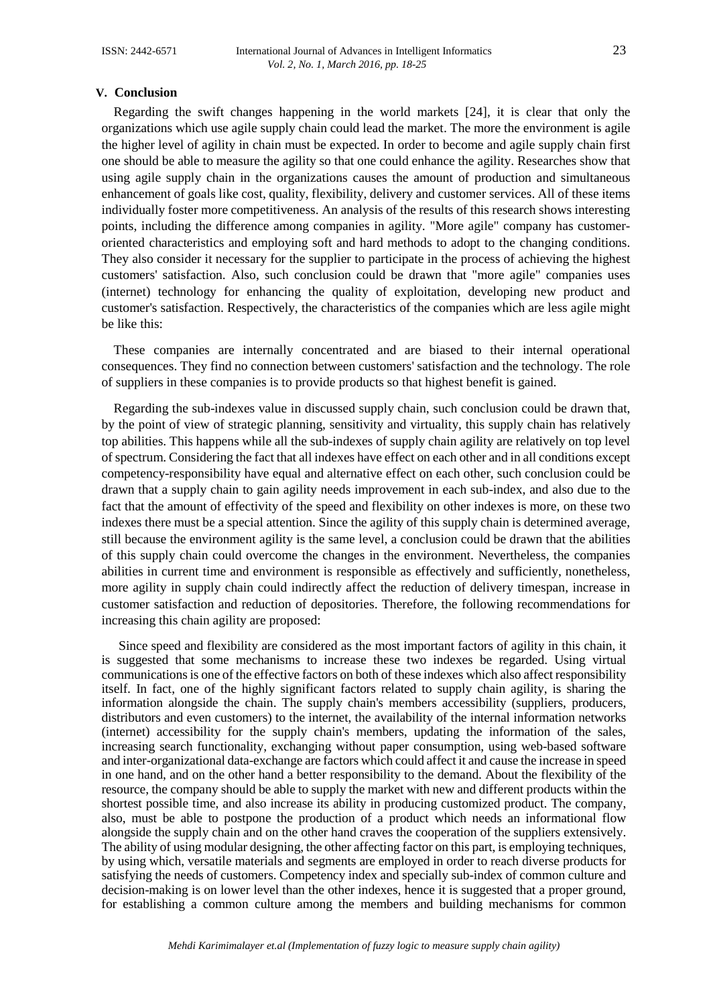### **V. Conclusion**

Regarding the swift changes happening in the world markets [24], it is clear that only the organizations which use agile supply chain could lead the market. The more the environment is agile the higher level of agility in chain must be expected. In order to become and agile supply chain first one should be able to measure the agility so that one could enhance the agility. Researches show that using agile supply chain in the organizations causes the amount of production and simultaneous enhancement of goals like cost, quality, flexibility, delivery and customer services. All of these items individually foster more competitiveness. An analysis of the results of this research shows interesting points, including the difference among companies in agility. "More agile" company has customeroriented characteristics and employing soft and hard methods to adopt to the changing conditions. They also consider it necessary for the supplier to participate in the process of achieving the highest customers' satisfaction. Also, such conclusion could be drawn that "more agile" companies uses (internet) technology for enhancing the quality of exploitation, developing new product and customer's satisfaction. Respectively, the characteristics of the companies which are less agile might be like this:

These companies are internally concentrated and are biased to their internal operational consequences. They find no connection between customers' satisfaction and the technology. The role of suppliers in these companies is to provide products so that highest benefit is gained.

Regarding the sub-indexes value in discussed supply chain, such conclusion could be drawn that, by the point of view of strategic planning, sensitivity and virtuality, this supply chain has relatively top abilities. This happens while all the sub-indexes of supply chain agility are relatively on top level of spectrum. Considering the fact that all indexes have effect on each other and in all conditions except competency-responsibility have equal and alternative effect on each other, such conclusion could be drawn that a supply chain to gain agility needs improvement in each sub-index, and also due to the fact that the amount of effectivity of the speed and flexibility on other indexes is more, on these two indexes there must be a special attention. Since the agility of this supply chain is determined average, still because the environment agility is the same level, a conclusion could be drawn that the abilities of this supply chain could overcome the changes in the environment. Nevertheless, the companies abilities in current time and environment is responsible as effectively and sufficiently, nonetheless, more agility in supply chain could indirectly affect the reduction of delivery timespan, increase in customer satisfaction and reduction of depositories. Therefore, the following recommendations for increasing this chain agility are proposed:

Since speed and flexibility are considered as the most important factors of agility in this chain, it is suggested that some mechanisms to increase these two indexes be regarded. Using virtual communications is one of the effective factors on both of these indexes which also affect responsibility itself. In fact, one of the highly significant factors related to supply chain agility, is sharing the information alongside the chain. The supply chain's members accessibility (suppliers, producers, distributors and even customers) to the internet, the availability of the internal information networks (internet) accessibility for the supply chain's members, updating the information of the sales, increasing search functionality, exchanging without paper consumption, using web-based software and inter-organizational data-exchange are factors which could affect it and cause the increase in speed in one hand, and on the other hand a better responsibility to the demand. About the flexibility of the resource, the company should be able to supply the market with new and different products within the shortest possible time, and also increase its ability in producing customized product. The company, also, must be able to postpone the production of a product which needs an informational flow alongside the supply chain and on the other hand craves the cooperation of the suppliers extensively. The ability of using modular designing, the other affecting factor on this part, is employing techniques, by using which, versatile materials and segments are employed in order to reach diverse products for satisfying the needs of customers. Competency index and specially sub-index of common culture and decision-making is on lower level than the other indexes, hence it is suggested that a proper ground, for establishing a common culture among the members and building mechanisms for common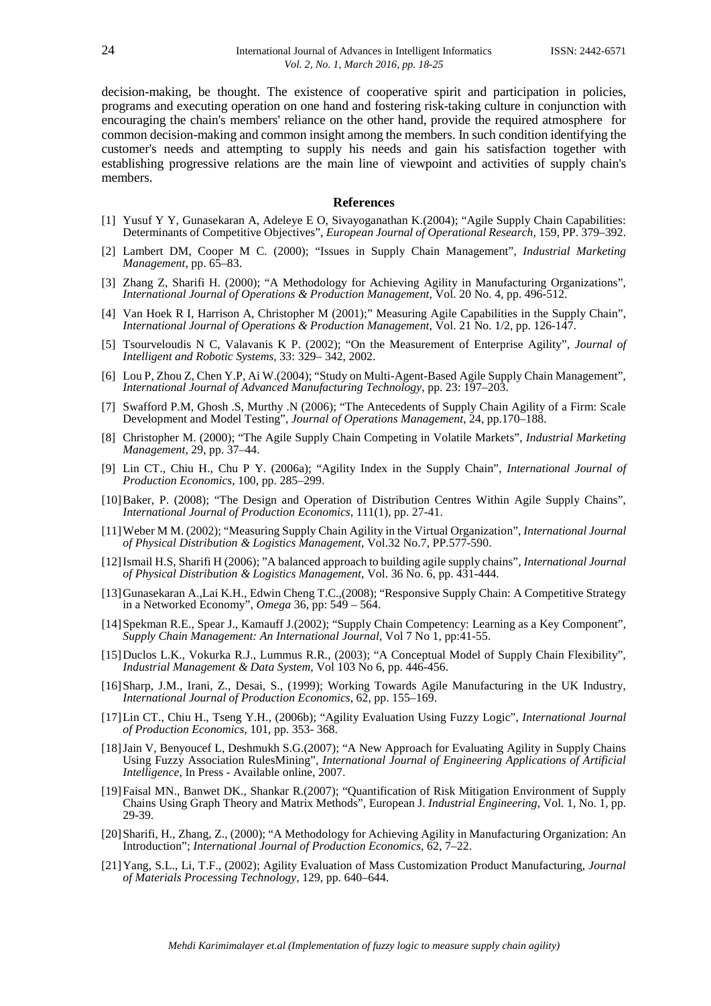decision-making, be thought. The existence of cooperative spirit and participation in policies, programs and executing operation on one hand and fostering risk-taking culture in conjunction with encouraging the chain's members' reliance on the other hand, provide the required atmosphere for common decision-making and common insight among the members. In such condition identifying the customer's needs and attempting to supply his needs and gain his satisfaction together with establishing progressive relations are the main line of viewpoint and activities of supply chain's members.

#### **References**

- [1] Yusuf Y Y, Gunasekaran A, Adeleye E O, Sivayoganathan K.(2004); "Agile Supply Chain Capabilities: Determinants of Competitive Objectives", *European Journal of Operational Research,* 159, PP. 379–392.
- [2] Lambert DM, Cooper M C. (2000); "Issues in Supply Chain Management", *Industrial Marketing Management*, pp. 65–83.
- [3] Zhang Z, Sharifi H. (2000); "A Methodology for Achieving Agility in Manufacturing Organizations", *International Journal of Operations & Production Management*, Vol. 20 No. 4, pp. 496-512.
- [4] Van Hoek R I, Harrison A, Christopher M (2001);" Measuring Agile Capabilities in the Supply Chain", *International Journal of Operations & Production Management*, Vol. 21 No. 1/2, pp. 126-147.
- [5] Tsourveloudis N C, Valavanis K P. (2002); "On the Measurement of Enterprise Agility", *Journal of Intelligent and Robotic Systems,* 33: 329– 342, 2002.
- [6] Lou P, Zhou Z, Chen Y.P, Ai W.(2004); "Study on Multi-Agent-Based Agile Supply Chain Management", *International Journal of Advanced Manufacturing Technology*, pp. 23: 197–203.
- [7] Swafford P.M, Ghosh .S, Murthy .N (2006); "The Antecedents of Supply Chain Agility of a Firm: Scale Development and Model Testing", *Journal of Operations Management*, 24, pp.170–188.
- [8] Christopher M. (2000); "The Agile Supply Chain Competing in Volatile Markets", *Industrial Marketing Management*, 29, pp. 37–44.
- [9] Lin CT., Chiu H., Chu P Y. (2006a); "Agility Index in the Supply Chain", *International Journal of Production Economics*, 100, pp. 285–299.
- [10]Baker, P. (2008); "The Design and Operation of Distribution Centres Within Agile Supply Chains", *International Journal of Production Economics,* 111(1), pp. 27-41.
- [11]Weber M M. (2002); "Measuring Supply Chain Agility in the Virtual Organization", *International Journal of Physical Distribution & Logistics Management*, Vol.32 No.7, PP.577-590.
- [12]Ismail H.S, Sharifi H (2006); "A balanced approach to building agile supply chains", *International Journal of Physical Distribution & Logistics Management*, Vol. 36 No. 6, pp. 431-444.
- [13]Gunasekaran A.,Lai K.H., Edwin Cheng T.C.,(2008); "Responsive Supply Chain: A Competitive Strategy in a Networked Economy", *Omega* 36, pp: 549 – 564.
- [14]Spekman R.E., Spear J., Kamauff J.(2002); "Supply Chain Competency: Learning as a Key Component", *Supply Chain Management: An International Journal*, Vol 7 No 1, pp:41-55.
- [15]Duclos L.K., Vokurka R.J., Lummus R.R., (2003); "A Conceptual Model of Supply Chain Flexibility", *Industrial Management & Data System*, Vol 103 No 6, pp. 446-456.
- [16]Sharp, J.M., Irani, Z., Desai, S., (1999); Working Towards Agile Manufacturing in the UK Industry, *International Journal of Production Economics*, 62, pp. 155–169.
- [17]Lin CT., Chiu H., Tseng Y.H., (2006b); "Agility Evaluation Using Fuzzy Logic", *International Journal of Production Economics*, 101, pp. 353- 368.
- [18]Jain V, Benyoucef L, Deshmukh S.G.(2007); "A New Approach for Evaluating Agility in Supply Chains Using Fuzzy Association RulesMining", *International Journal of Engineering Applications of Artificial Intelligence*, In Press - Available online, 2007.
- [19]Faisal MN., Banwet DK., Shankar R.(2007); "Quantification of Risk Mitigation Environment of Supply Chains Using Graph Theory and Matrix Methods", European J. *Industrial Engineering*, Vol. 1, No. 1, pp. 29-39.
- [20]Sharifi, H., Zhang, Z., (2000); "A Methodology for Achieving Agility in Manufacturing Organization: An Introduction"; *International Journal of Production Economics*, 62, 7–22.
- [21]Yang, S.L., Li, T.F., (2002); Agility Evaluation of Mass Customization Product Manufacturing, *Journal of Materials Processing Technology,* 129, pp. 640–644.